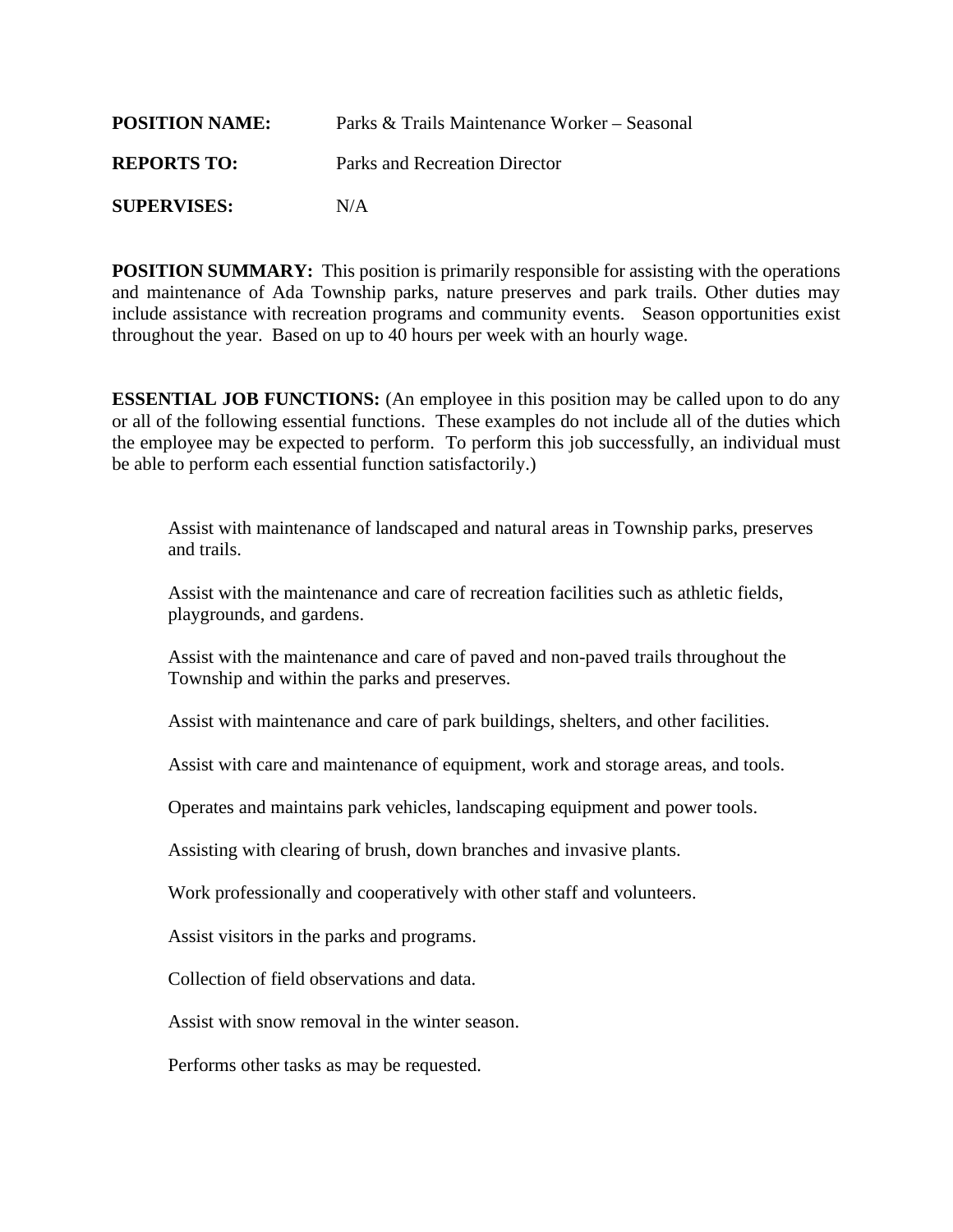| <b>POSITION NAME:</b> | Parks & Trails Maintenance Worker – Seasonal |
|-----------------------|----------------------------------------------|
| <b>REPORTS TO:</b>    | Parks and Recreation Director                |
| <b>SUPERVISES:</b>    | N/A                                          |

**POSITION SUMMARY:** This position is primarily responsible for assisting with the operations and maintenance of Ada Township parks, nature preserves and park trails. Other duties may include assistance with recreation programs and community events. Season opportunities exist throughout the year. Based on up to 40 hours per week with an hourly wage.

**ESSENTIAL JOB FUNCTIONS:** (An employee in this position may be called upon to do any or all of the following essential functions. These examples do not include all of the duties which the employee may be expected to perform. To perform this job successfully, an individual must be able to perform each essential function satisfactorily.)

Assist with maintenance of landscaped and natural areas in Township parks, preserves and trails.

Assist with the maintenance and care of recreation facilities such as athletic fields, playgrounds, and gardens.

Assist with the maintenance and care of paved and non-paved trails throughout the Township and within the parks and preserves.

Assist with maintenance and care of park buildings, shelters, and other facilities.

Assist with care and maintenance of equipment, work and storage areas, and tools.

Operates and maintains park vehicles, landscaping equipment and power tools.

Assisting with clearing of brush, down branches and invasive plants.

Work professionally and cooperatively with other staff and volunteers.

Assist visitors in the parks and programs.

Collection of field observations and data.

Assist with snow removal in the winter season.

Performs other tasks as may be requested.